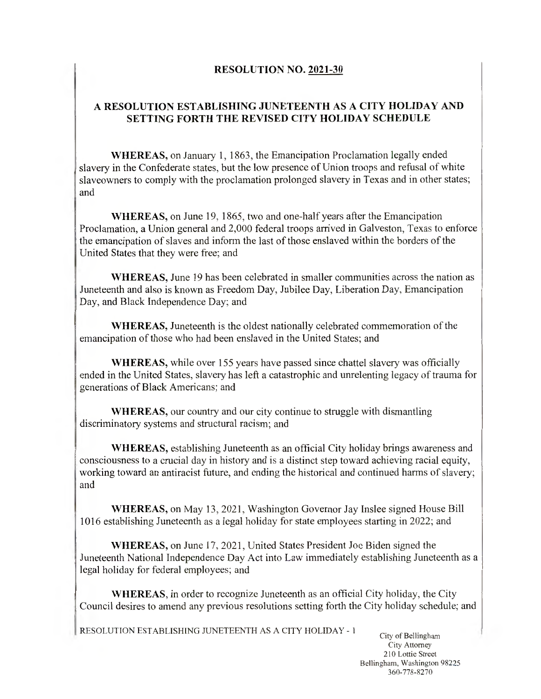## RESOLUTION NO. 2021-30

## A RESOLUTION ESTABLISHING JUNETEENTH AS A CITY HOLIDAY AND SETTING FORTH THE REVISED CITY HOLIDAY SCHEDULE

WHEREAS, on January 1, 1863, the Emancipation Proclamation legally ended slavery in the Confederate states, but the low presence of Union troops and refusal of white slaveowners to comply with the proclamation prolonged slavery in Texas and in other states; and

WHEREAS, on June 19, 1865, two and one-half years after the Emancipation Proclamation, a Union general and 2,000 federal troops arrived in Galveston, Texas to enforce the emancipation of slaves and inform the last of those enslaved within the borders of the United States that they were free; and

WHEREAS, June 19 has been celebrated in smaller communities across the nation as Juneteenth and also is known as Freedom Day, Jubilee Day, Liberation Day, Emancipation Day, and Black Independence Day; and

WHEREAS, Juneteenth is the oldest nationally celebrated commemoration of the emancipation of those who had been enslaved in the United States; and

WHEREAS, while over 155 years have passed since chattel slavery was officially ended in the United States, slavery has left a catastrophic and unrelenting legacy of trauma for generations of Black Americans; and

WHEREAS, our country and our city continue to struggle with dismantling discriminatory systems and structural racism; and

WHEREAS, establishing Juneteenth as an official City holiday brings awareness and consciousness to a crucial day in history and is a distinct step toward achieving racial equity, working toward an antiracist future, and ending the historical and continued harms of slavery; and

WHEREAS, on May 13, 2021, Washington Governor Jay Inslee signed House Bill 1016 establishing Juneteenth as a legal holiday for state employees starting in 2022; and

WHEREAS, on June 17, 2021, United States President Joe Biden signed the Juneteenth National Independence Day Act into Law immediately establishing Juneteenth as a legal holiday for federal employees; and

WHEREAS, in order to recognize Juneteenth as an official City holiday, the City Council desires to amend any previous resolutions setting forth the City holiday schedule; and

**RESOLUTION ESTABLISHING JUNETEENTH AS A CITY HOLIDAY - <sup>1</sup>**

!

**City of Bellingham City Attorney 210 Lottie Street Bellingham, Washington 98225 360-778-8270**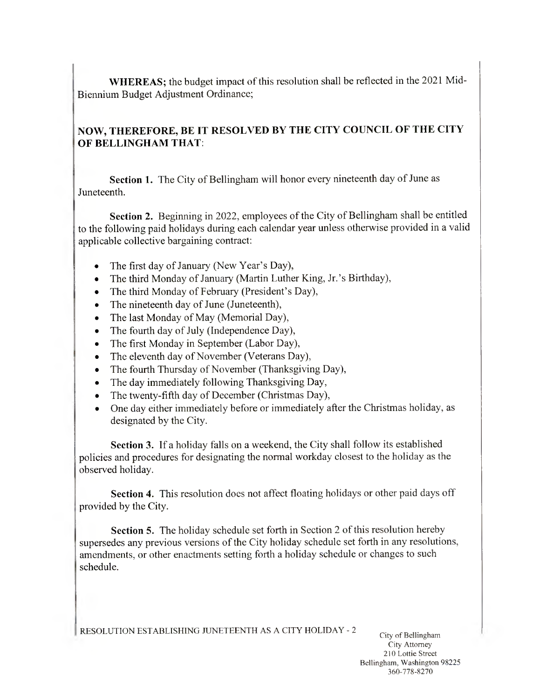**WHEREAS;** the budget impact of this resolution shall be reflected in the <sup>2021</sup> Mid-Biennium Budget Adjustment Ordinance;

## **NOW, THEREFORE, BE IT RESOLVED BY THE CITY COUNCIL OF THE CITY OF BELLINGHAM THAT:**

**Section 1.** The City of Bellingham will honor every nineteenth day of June as Juneteenth.

**Section <sup>2</sup>.** Beginning in <sup>2022</sup>, employees of the City of Bellingham shall be entitled to the following paid holidays during each calendar year unless otherwise provided in <sup>a</sup> valid applicable collective bargaining contract:

- The first day of January (New Year's Day),  $\bullet$
- The third Monday of January (Martin Luther King, Jr.'s Birthday),  $\bullet$
- The third Monday of February (President's Day),  $\bullet$
- The nineteenth day of June (Juneteenth),
- The last Monday of May (Memorial Day),  $\bullet$
- The fourth day of July (Independence Day),  $\bullet$
- The first Monday in September (Labor Day),  $\bullet$
- The eleventh day of November (Veterans Day),  $\bullet$
- The fourth Thursday of November (Thanksgiving Day),  $\bullet$
- The day immediately following Thanksgiving Day,
- The twenty-fifth day of December (Christmas Day),  $\bullet$
- One day either immediately before or immediately after the Christmas holiday, as  $\bullet$ designated by the City.

**Section** 3. If <sup>a</sup> holiday falls on <sup>a</sup> weekend, the City shall follow its established policies and procedures for designating the normal workday closest to the holiday as the observed holiday.

**Section 4.** This resolution does not affect floating holidays or other paid days off provided by the City.

**Section** 5. The holiday schedule set forth in Section <sup>2</sup> of this resolution hereby supersedes any previous versions of the City holiday schedule set forth in any resolutions, amendments, or other enactments setting forth <sup>a</sup> holiday schedule or changes to such schedule.

|RESOLUTION ESTABLISHING JUNETEENTH AS <sup>A</sup> CITY HOLIDAY - <sup>2</sup>

City of Bellingham City Attorney 210 Lottie Street Bellingham, Washington 98225 360-778-8270